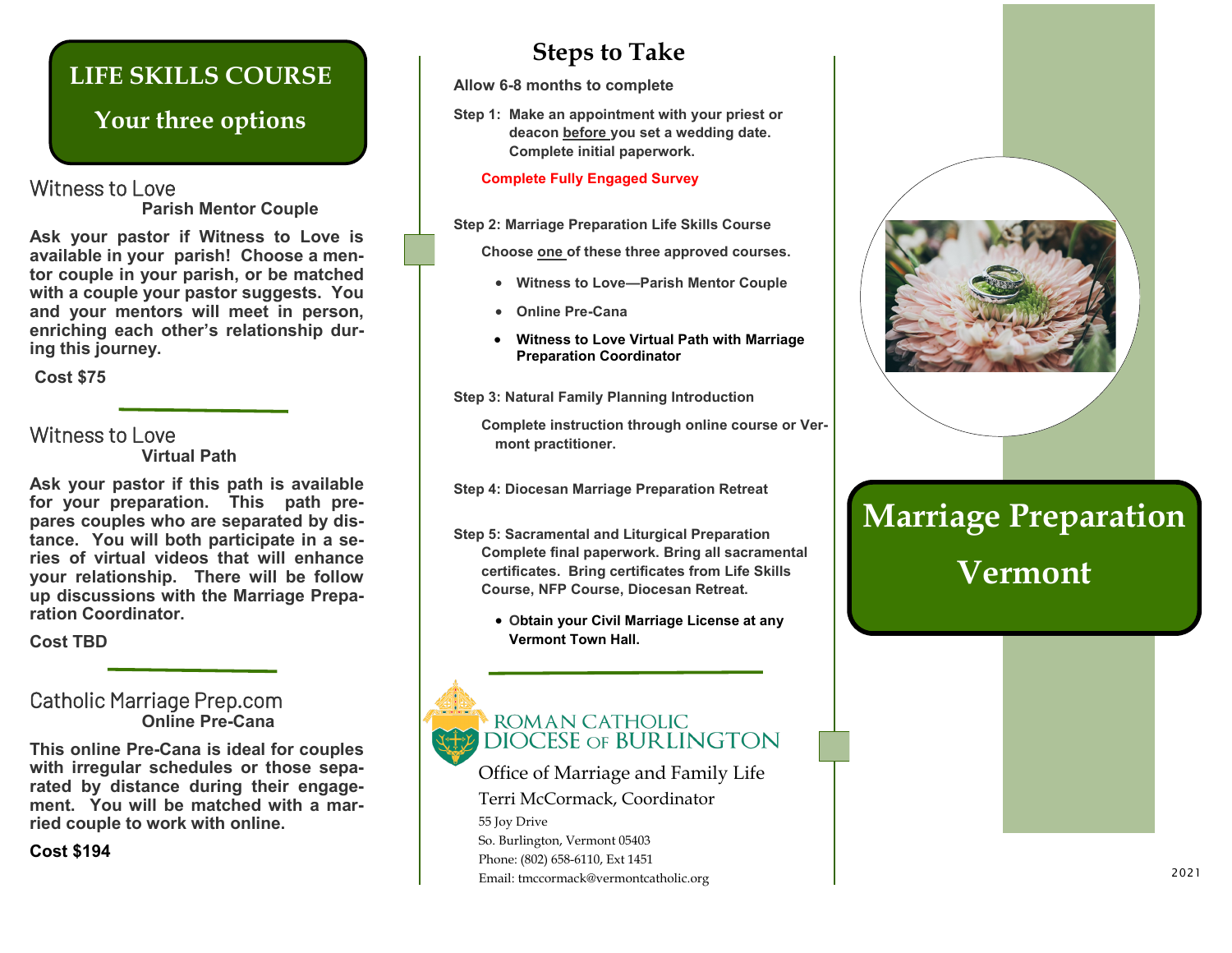### **LIFE SKILLS COURSE**

### **Your three options**

#### Witness to Love **Parish Mentor Couple**

**Ask your pastor if Witness to Love is available in your parish! Choose a mentor couple in your parish, or be matched with a couple your pastor suggests. You and your mentors will meet in person, enriching each other's relationship during this journey.**

**Cost \$75**

#### Witness to Love **Virtual Path**

**Ask your pastor if this path is available for your preparation. This path prepares couples who are separated by distance. You will both participate in a series of virtual videos that will enhance your relationship. There will be follow up discussions with the Marriage Preparation Coordinator.** 

**Cost TBD**

#### Catholic Marriage Prep.com **Online Pre-Cana**

**This online Pre-Cana is ideal for couples with irregular schedules or those separated by distance during their engagement. You will be matched with a married couple to work with online.** 

**Cost \$194**

### **Steps to Take**

**Allow 6-8 months to complete**

**Step 1: Make an appointment with your priest or deacon before you set a wedding date. Complete initial paperwork.**

#### **Complete Fully Engaged Survey**

**Step 2: Marriage Preparation Life Skills Course**

**Choose one of these three approved courses.** 

- **Witness to Love—Parish Mentor Couple**
- **Online Pre-Cana**
- **Witness to Love Virtual Path with Marriage Preparation Coordinator**

**Step 3: Natural Family Planning Introduction**

**Complete instruction through online course or Vermont practitioner.** 

**Step 4: Diocesan Marriage Preparation Retreat**

- **Step 5: Sacramental and Liturgical Preparation Complete final paperwork. Bring all sacramental certificates. Bring certificates from Life Skills Course, NFP Course, Diocesan Retreat.** 
	- **Obtain your Civil Marriage License at any Vermont Town Hall.**

## ROMAN CATHOLIC **DIOCESE OF BURLINGTON**

Office of Marriage and Family Life Terri McCormack, Coordinator 55 Joy Drive So. Burlington, Vermont 05403 Phone: (802) 658-6110, Ext 1451 Email: tmccormack@vermontcatholic.org



# **Marriage Preparation Vermont**